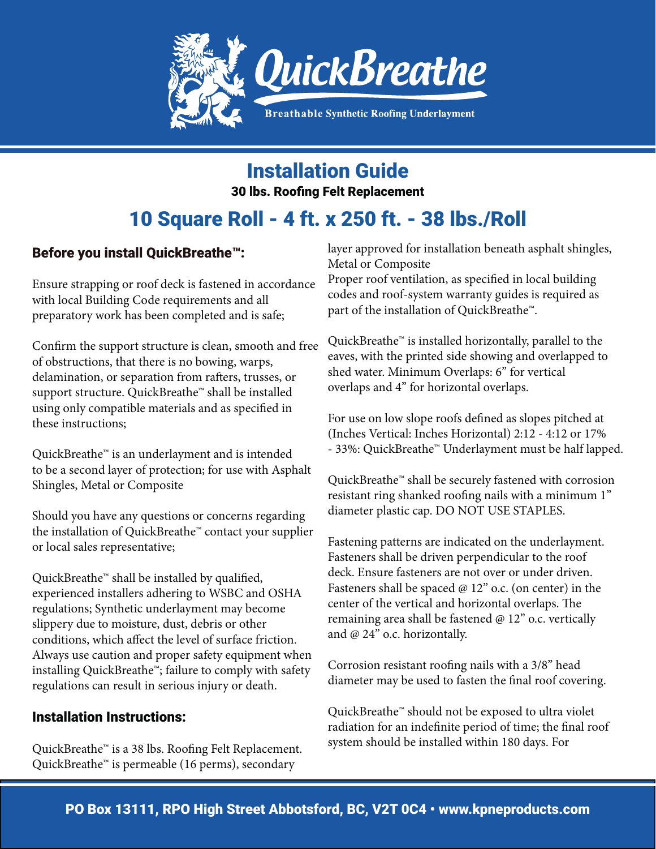

Installation Guide

30 lbs. Roofing Felt Replacement

# 10 Square Roll - 4 ft. x 250 ft. - 38 lbs./Roll

#### Before you install QuickBreathe™:

Ensure strapping or roof deck is fastened in accordance with local Building Code requirements and all preparatory work has been completed and is safe;

Confirm the support structure is clean, smooth and free of obstructions, that there is no bowing, warps, delamination, or separation from rafters, trusses, or support structure. QuickBreathe™ shall be installed using only compatible materials and as specified in these instructions;

QuickBreathe™ is an underlayment and is intended to be a second layer of protection; for use with Asphalt Shingles, Metal or Composite

Should you have any questions or concerns regarding the installation of QuickBreathe™ contact your supplier or local sales representative;

QuickBreathe™ shall be installed by qualified, experienced installers adhering to WSBC and OSHA regulations; Synthetic underlayment may become slippery due to moisture, dust, debris or other conditions, which affect the level of surface friction. Always use caution and proper safety equipment when installing QuickBreathe™; failure to comply with safety regulations can result in serious injury or death.

#### Installation Instructions:

QuickBreathe™ is a 38 lbs. Roofing Felt Replacement. QuickBreathe™ is permeable (16 perms), secondary

layer approved for installation beneath asphalt shingles, Metal or Composite

Proper roof ventilation, as specified in local building codes and roof-system warranty guides is required as part of the installation of QuickBreathe™.

QuickBreathe™ is installed horizontally, parallel to the eaves, with the printed side showing and overlapped to shed water. Minimum Overlaps: 6" for vertical overlaps and 4" for horizontal overlaps.

For use on low slope roofs defined as slopes pitched at (Inches Vertical: Inches Horizontal) 2:12 - 4:12 or 17% - 33%: QuickBreathe™ Underlayment must be half lapped.

QuickBreathe™ shall be securely fastened with corrosion resistant ring shanked roofing nails with a minimum 1" diameter plastic cap. DO NOT USE STAPLES.

Fastening patterns are indicated on the underlayment. Fasteners shall be driven perpendicular to the roof deck. Ensure fasteners are not over or under driven. Fasteners shall be spaced @ 12" o.c. (on center) in the center of the vertical and horizontal overlaps. The remaining area shall be fastened @ 12" o.c. vertically and @ 24" o.c. horizontally.

Corrosion resistant roofing nails with a 3/8" head diameter may be used to fasten the final roof covering.

QuickBreathe™ should not be exposed to ultra violet radiation for an indefinite period of time; the final roof system should be installed within 180 days. For